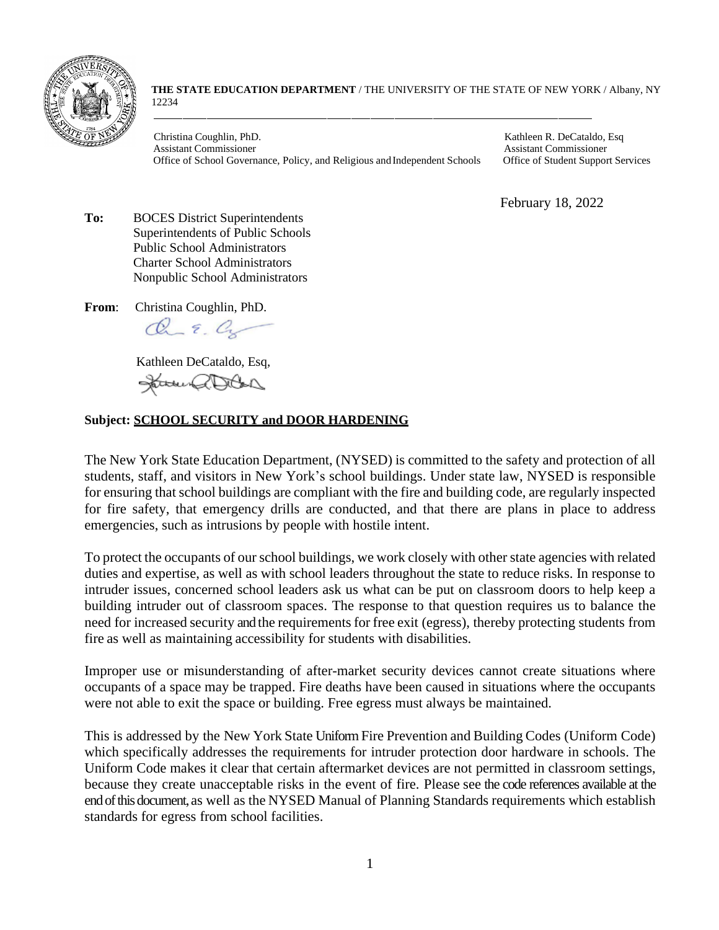

**THE STATE EDUCATION DEPARTMENT** / THE UNIVERSITY OF THE STATE OF NEW YORK / Albany, NY 12234

Christina Coughlin, PhD. Kathleen R. DeCataldo, Esq Assistant Commissioner Assistant Commissioner Office of School Governance, Policy, and Religious and Independent Schools Office of Student Support Services

February 18, 2022

**To:** BOCES District Superintendents Superintendents of Public Schools Public School Administrators Charter School Administrators Nonpublic School Administrators

**From**: Christina Coughlin, PhD.

de E. C

Kathleen DeCataldo, Esq,

State Robert

## **Subject: SCHOOL SECURITY and DOOR HARDENING**

The New York State Education Department, (NYSED) is committed to the safety and protection of all students, staff, and visitors in New York's school buildings. Under state law, NYSED is responsible for ensuring that school buildings are compliant with the fire and building code, are regularly inspected for fire safety, that emergency drills are conducted, and that there are plans in place to address emergencies, such as intrusions by people with hostile intent.

To protect the occupants of our school buildings, we work closely with other state agencies with related duties and expertise, as well as with school leaders throughout the state to reduce risks. In response to intruder issues, concerned school leaders ask us what can be put on classroom doors to help keep a building intruder out of classroom spaces. The response to that question requires us to balance the need for increased security and the requirements for free exit (egress), thereby protecting students from fire as well as maintaining accessibility for students with disabilities.

Improper use or misunderstanding of after-market security devices cannot create situations where occupants of a space may be trapped. Fire deaths have been caused in situations where the occupants were not able to exit the space or building. Free egress must always be maintained.

This is addressed by the New York State Uniform Fire Prevention and Building Codes (Uniform Code) which specifically addresses the requirements for intruder protection door hardware in schools. The Uniform Code makes it clear that certain aftermarket devices are not permitted in classroom settings, because they create unacceptable risks in the event of fire. Please see the code references available at the end of this document, as well as the NYSED Manual of Planning Standards requirements which establish standards for egress from school facilities.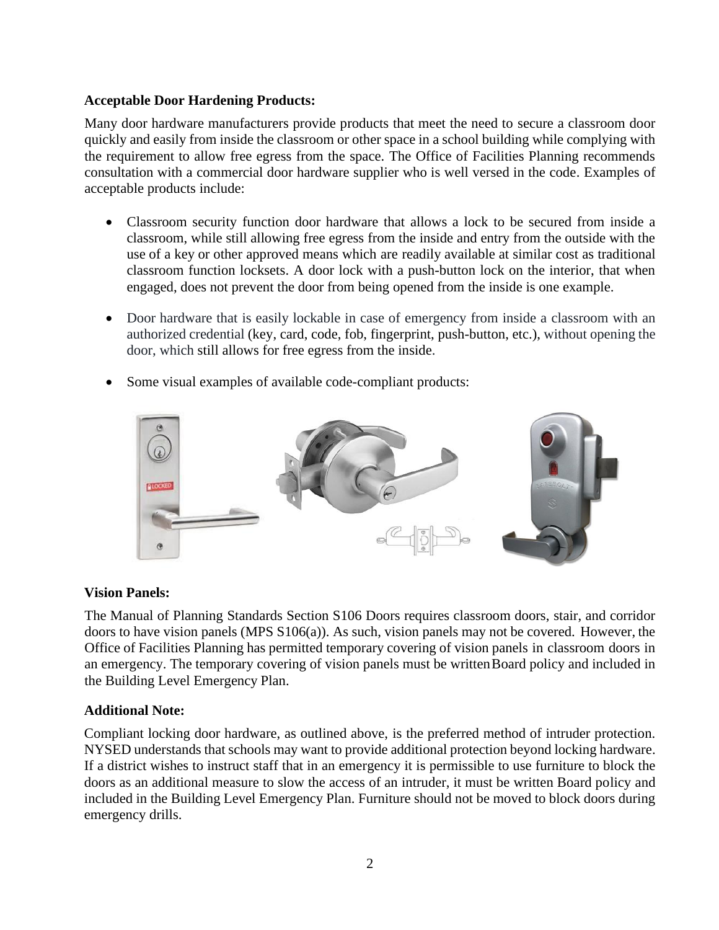# **Acceptable Door Hardening Products:**

Many door hardware manufacturers provide products that meet the need to secure a classroom door quickly and easily from inside the classroom or other space in a school building while complying with the requirement to allow free egress from the space. The Office of Facilities Planning recommends consultation with a commercial door hardware supplier who is well versed in the code. Examples of acceptable products include:

- Classroom security function door hardware that allows a lock to be secured from inside a classroom, while still allowing free egress from the inside and entry from the outside with the use of a key or other approved means which are readily available at similar cost as traditional classroom function locksets. A door lock with a push-button lock on the interior, that when engaged, does not prevent the door from being opened from the inside is one example.
- Door hardware that is easily lockable in case of emergency from inside a classroom with an authorized credential (key, card, code, fob, fingerprint, push-button, etc.), without opening the door, which still allows for free egress from the inside.
- Some visual examples of available code-compliant products:



## **Vision Panels:**

The Manual of Planning Standards Section S106 Doors requires classroom doors, stair, and corridor doors to have vision panels (MPS S106(a)). As such, vision panels may not be covered. However, the Office of Facilities Planning has permitted temporary covering of vision panels in classroom doors in an emergency. The temporary covering of vision panels must be writtenBoard policy and included in the Building Level Emergency Plan.

## **Additional Note:**

Compliant locking door hardware, as outlined above, is the preferred method of intruder protection. NYSED understands that schools may want to provide additional protection beyond locking hardware. If a district wishes to instruct staff that in an emergency it is permissible to use furniture to block the doors as an additional measure to slow the access of an intruder, it must be written Board policy and included in the Building Level Emergency Plan. Furniture should not be moved to block doors during emergency drills.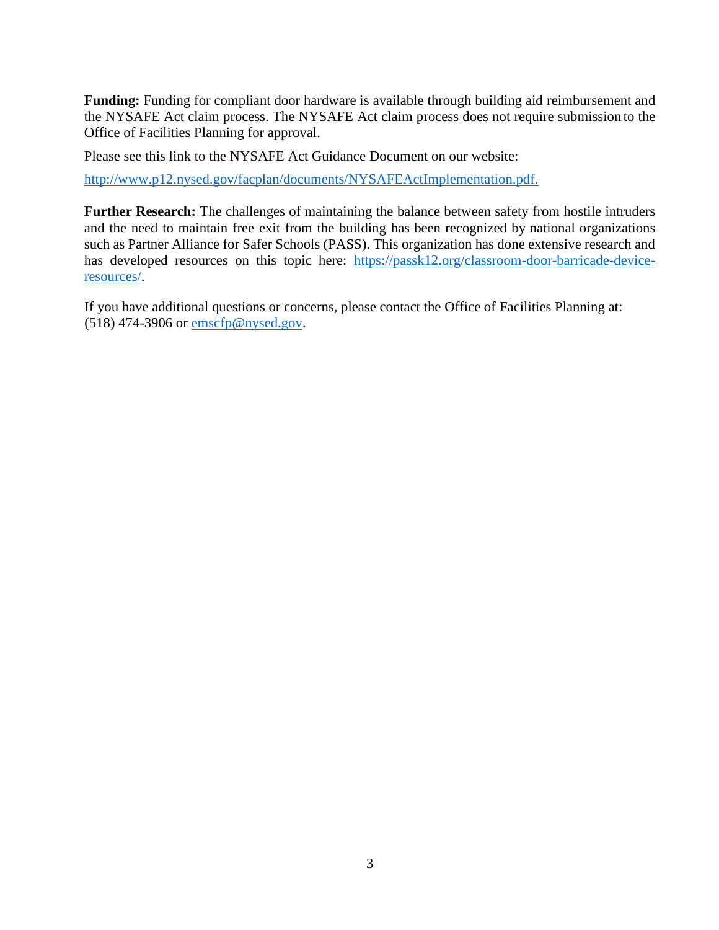**Funding:** Funding for compliant door hardware is available through building aid reimbursement and the NYSAFE Act claim process. The NYSAFE Act claim process does not require submission to the Office of Facilities Planning for approval.

Please see this link to the NYSAFE Act Guidance Document on our website:

<http://www.p12.nysed.gov/facplan/documents/NYSAFEActImplementation.pdf.>

**Further Research:** The challenges of maintaining the balance between safety from hostile intruders and the need to maintain free exit from the building has been recognized by national organizations such as Partner Alliance for Safer Schools (PASS). This organization has done extensive research and has developed resources on this topic here: [https://passk12.org/classroom-door-barricade-device](https://passk12.org/classroom-door-barricade-device-resources/)[resources/.](https://passk12.org/classroom-door-barricade-device-resources/)

If you have additional questions or concerns, please contact the Office of Facilities Planning at: (518) 474-3906 or [emscfp@nysed.gov.](mailto:emscfp@nysed.gov)